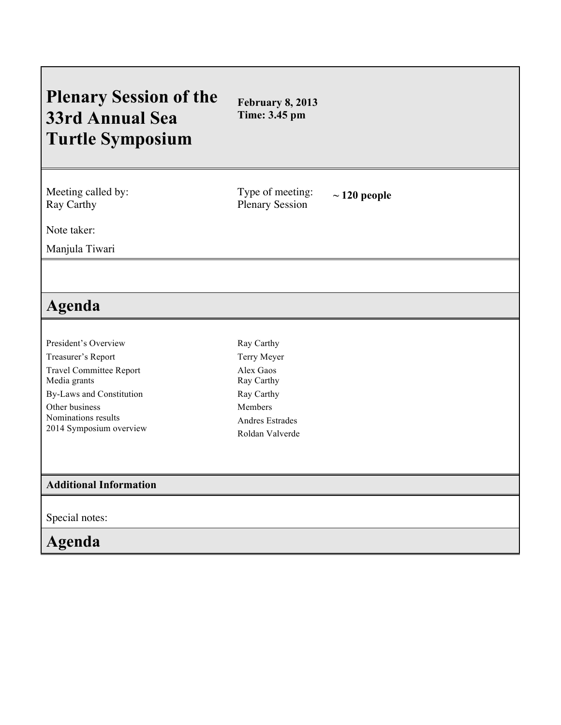## **Plenary Session of the 33rd Annual Sea Turtle Symposium February 8, 2013 Time: 3.45 pm** Meeting called by: Ray Carthy Type of meeting: Plenary Session **~ 120 people** Note taker: Manjula Tiwari **Agenda** President's Overview Treasurer's Report Travel Committee Report Media grants By-Laws and Constitution Other business Nominations results 2014 Symposium overview Ray Carthy Terry Meyer Alex Gaos Ray Carthy Ray Carthy Members Andres Estrades Roldan Valverde **Additional Information** Special notes: **Agenda**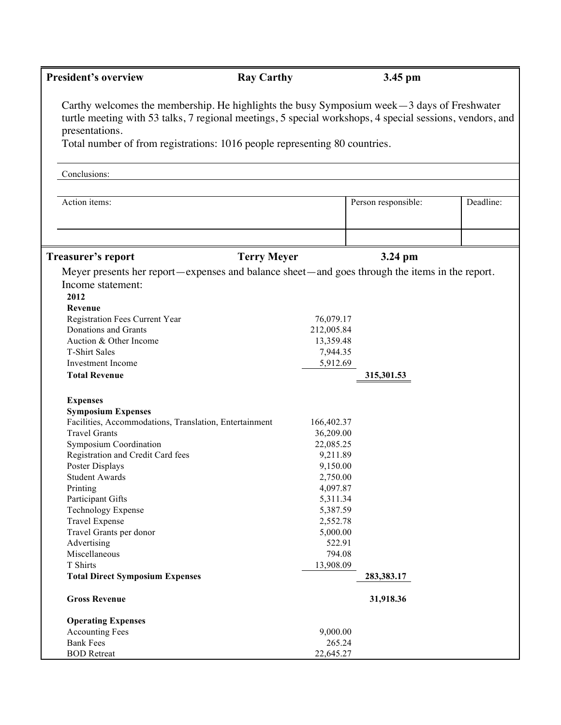| <b>President's overview</b>                                                                                                                                                                                                                                                                               | <b>Ray Carthy</b>  |                  | 3.45 pm             |           |
|-----------------------------------------------------------------------------------------------------------------------------------------------------------------------------------------------------------------------------------------------------------------------------------------------------------|--------------------|------------------|---------------------|-----------|
| Carthy welcomes the membership. He highlights the busy Symposium week $-3$ days of Freshwater<br>turtle meeting with 53 talks, 7 regional meetings, 5 special workshops, 4 special sessions, vendors, and<br>presentations.<br>Total number of from registrations: 1016 people representing 80 countries. |                    |                  |                     |           |
|                                                                                                                                                                                                                                                                                                           |                    |                  |                     |           |
| Conclusions:                                                                                                                                                                                                                                                                                              |                    |                  |                     |           |
| Action items:                                                                                                                                                                                                                                                                                             |                    |                  | Person responsible: | Deadline: |
| Treasurer's report                                                                                                                                                                                                                                                                                        | <b>Terry Meyer</b> |                  | 3.24 pm             |           |
| Meyer presents her report—expenses and balance sheet—and goes through the items in the report.                                                                                                                                                                                                            |                    |                  |                     |           |
| Income statement:                                                                                                                                                                                                                                                                                         |                    |                  |                     |           |
| 2012                                                                                                                                                                                                                                                                                                      |                    |                  |                     |           |
| Revenue                                                                                                                                                                                                                                                                                                   |                    |                  |                     |           |
| Registration Fees Current Year                                                                                                                                                                                                                                                                            |                    | 76,079.17        |                     |           |
| Donations and Grants                                                                                                                                                                                                                                                                                      |                    | 212,005.84       |                     |           |
| Auction & Other Income                                                                                                                                                                                                                                                                                    |                    | 13,359.48        |                     |           |
| <b>T-Shirt Sales</b>                                                                                                                                                                                                                                                                                      |                    | 7,944.35         |                     |           |
| Investment Income                                                                                                                                                                                                                                                                                         |                    | 5,912.69         |                     |           |
| <b>Total Revenue</b>                                                                                                                                                                                                                                                                                      |                    |                  | 315,301.53          |           |
| <b>Expenses</b>                                                                                                                                                                                                                                                                                           |                    |                  |                     |           |
| <b>Symposium Expenses</b>                                                                                                                                                                                                                                                                                 |                    |                  |                     |           |
| Facilities, Accommodations, Translation, Entertainment                                                                                                                                                                                                                                                    |                    | 166,402.37       |                     |           |
| <b>Travel Grants</b>                                                                                                                                                                                                                                                                                      |                    | 36,209.00        |                     |           |
| <b>Symposium Coordination</b>                                                                                                                                                                                                                                                                             |                    | 22,085.25        |                     |           |
| Registration and Credit Card fees                                                                                                                                                                                                                                                                         |                    | 9,211.89         |                     |           |
| Poster Displays                                                                                                                                                                                                                                                                                           |                    | 9,150.00         |                     |           |
| <b>Student Awards</b>                                                                                                                                                                                                                                                                                     |                    | 2,750.00         |                     |           |
| Printing                                                                                                                                                                                                                                                                                                  |                    | 4,097.87         |                     |           |
| Participant Gifts                                                                                                                                                                                                                                                                                         |                    | 5,311.34         |                     |           |
| <b>Technology Expense</b>                                                                                                                                                                                                                                                                                 |                    | 5,387.59         |                     |           |
| <b>Travel Expense</b>                                                                                                                                                                                                                                                                                     |                    | 2,552.78         |                     |           |
| Travel Grants per donor                                                                                                                                                                                                                                                                                   |                    | 5,000.00         |                     |           |
| Advertising<br>Miscellaneous                                                                                                                                                                                                                                                                              |                    | 522.91<br>794.08 |                     |           |
| T Shirts                                                                                                                                                                                                                                                                                                  |                    | 13,908.09        |                     |           |
| <b>Total Direct Symposium Expenses</b>                                                                                                                                                                                                                                                                    |                    |                  | 283,383.17          |           |
| <b>Gross Revenue</b>                                                                                                                                                                                                                                                                                      |                    |                  | 31,918.36           |           |
| <b>Operating Expenses</b>                                                                                                                                                                                                                                                                                 |                    |                  |                     |           |
| <b>Accounting Fees</b>                                                                                                                                                                                                                                                                                    |                    | 9,000.00         |                     |           |
| <b>Bank Fees</b>                                                                                                                                                                                                                                                                                          |                    | 265.24           |                     |           |
| <b>BOD</b> Retreat                                                                                                                                                                                                                                                                                        |                    | 22,645.27        |                     |           |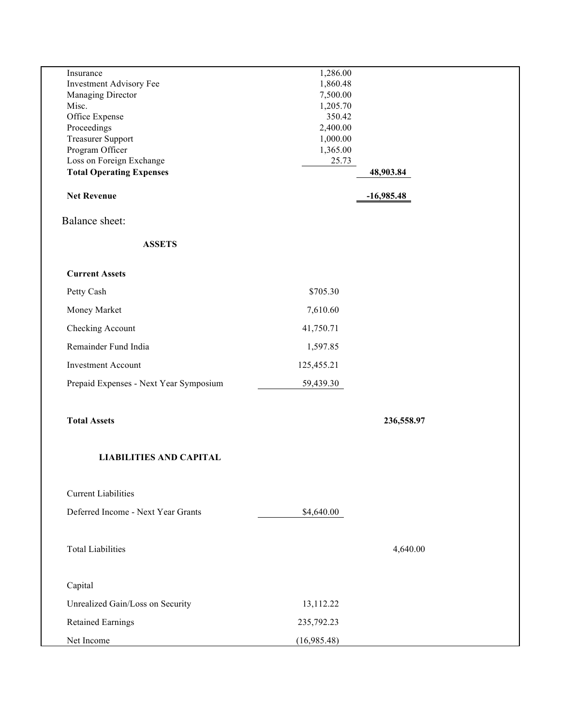| Insurance                              | 1,286.00           |              |  |
|----------------------------------------|--------------------|--------------|--|
| Investment Advisory Fee                | 1,860.48           |              |  |
| Managing Director                      | 7,500.00           |              |  |
| Misc.                                  | 1,205.70<br>350.42 |              |  |
| Office Expense<br>Proceedings          | 2,400.00           |              |  |
| <b>Treasurer Support</b>               | 1,000.00           |              |  |
| Program Officer                        | 1,365.00           |              |  |
| Loss on Foreign Exchange               | 25.73              |              |  |
| <b>Total Operating Expenses</b>        |                    | 48,903.84    |  |
|                                        |                    |              |  |
| <b>Net Revenue</b>                     |                    | $-16,985.48$ |  |
| <b>Balance sheet:</b>                  |                    |              |  |
| <b>ASSETS</b>                          |                    |              |  |
| <b>Current Assets</b>                  |                    |              |  |
| Petty Cash                             | \$705.30           |              |  |
| Money Market                           | 7,610.60           |              |  |
| Checking Account                       | 41,750.71          |              |  |
| Remainder Fund India                   | 1,597.85           |              |  |
| <b>Investment Account</b>              | 125,455.21         |              |  |
| Prepaid Expenses - Next Year Symposium | 59,439.30          |              |  |
| <b>Total Assets</b>                    |                    | 236,558.97   |  |
| <b>LIABILITIES AND CAPITAL</b>         |                    |              |  |
| <b>Current Liabilities</b>             |                    |              |  |
| Deferred Income - Next Year Grants     | \$4,640.00         |              |  |
| <b>Total Liabilities</b>               |                    | 4,640.00     |  |
|                                        |                    |              |  |
| Capital                                |                    |              |  |
| Unrealized Gain/Loss on Security       | 13,112.22          |              |  |
| Retained Earnings                      | 235,792.23         |              |  |
| Net Income                             | (16,985.48)        |              |  |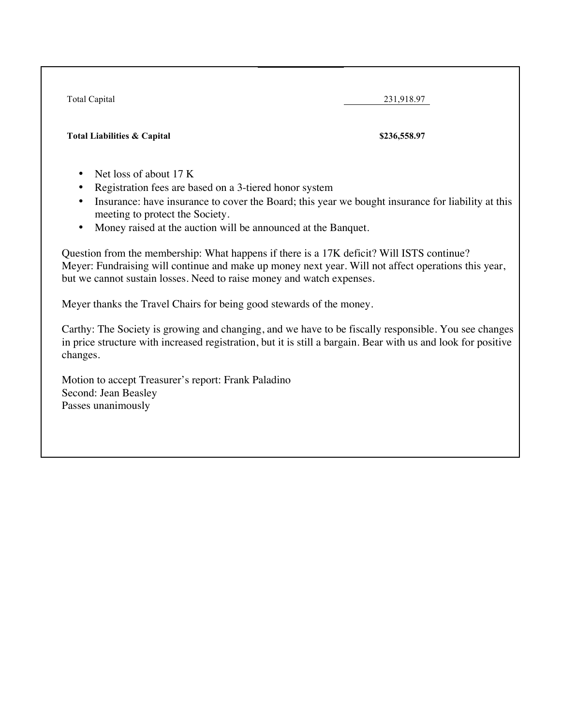Total Capital 231,918.97 **Total Liabilities & Capital \$236,558.97** 

- Net loss of about 17 K
- Registration fees are based on a 3-tiered honor system
- Insurance: have insurance to cover the Board; this year we bought insurance for liability at this meeting to protect the Society.
- Money raised at the auction will be announced at the Banquet.

Question from the membership: What happens if there is a 17K deficit? Will ISTS continue? Meyer: Fundraising will continue and make up money next year. Will not affect operations this year, but we cannot sustain losses. Need to raise money and watch expenses.

Meyer thanks the Travel Chairs for being good stewards of the money.

Carthy: The Society is growing and changing, and we have to be fiscally responsible. You see changes in price structure with increased registration, but it is still a bargain. Bear with us and look for positive changes.

Motion to accept Treasurer's report: Frank Paladino Second: Jean Beasley Passes unanimously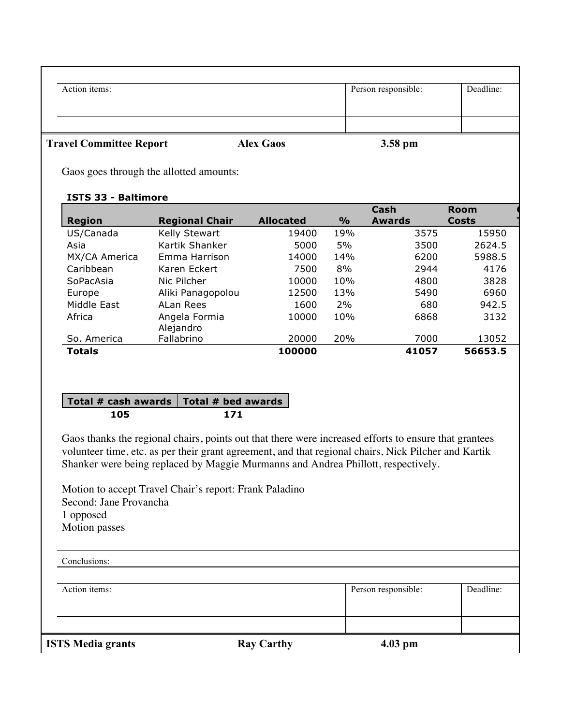| Action items:                  |                  | Person responsible: | Deadline: |
|--------------------------------|------------------|---------------------|-----------|
|                                |                  |                     |           |
|                                |                  |                     |           |
| <b>Travel Committee Report</b> | <b>Alex Gaos</b> | 3.58 pm             |           |

Gaos goes through the allotted amounts:

## **ISTS 33 - Baltimore**

|               |                       |                  |               | Cash   | <b>Room</b>  |
|---------------|-----------------------|------------------|---------------|--------|--------------|
| <b>Region</b> | <b>Regional Chair</b> | <b>Allocated</b> | $\frac{9}{6}$ | Awards | <b>Costs</b> |
| US/Canada     | Kelly Stewart         | 19400            | 19%           | 3575   | 15950        |
| Asia          | Kartik Shanker        | 5000             | 5%            | 3500   | 2624.5       |
| MX/CA America | Emma Harrison         | 14000            | 14%           | 6200   | 5988.5       |
| Caribbean     | Karen Eckert          | 7500             | 8%            | 2944   | 4176         |
| SoPacAsia     | Nic Pilcher           | 10000            | 10%           | 4800   | 3828         |
| Europe        | Aliki Panagopolou     | 12500            | 13%           | 5490   | 6960         |
| Middle East   | ALan Rees             | 1600             | 2%            | 680    | 942.5        |
| Africa        | Angela Formia         | 10000            | 10%           | 6868   | 3132         |
|               | Alejandro             |                  |               |        |              |
| So. America   | Fallabrino            | 20000            | 20%           | 7000   | 13052        |
| <b>Totals</b> |                       | 100000           |               | 41057  | 56653.5      |

## **Total # cash awards Total # bed awards 105 171**

Gaos thanks the regional chairs, points out that there were increased efforts to ensure that grantees volunteer time, etc. as per their grant agreement, and that regional chairs, Nick Pilcher and Kartik Shanker were being replaced by Maggie Murmanns and Andrea Phillott, respectively.

Motion to accept Travel Chair's report: Frank Paladino Second: Jane Provancha 1 opposed Motion passes

| Deadline:<br>Action items:<br>Person responsible: | <b>ISTS Media grants</b> | <b>Ray Carthy</b> | $4.03$ pm |  |
|---------------------------------------------------|--------------------------|-------------------|-----------|--|
|                                                   |                          |                   |           |  |
|                                                   |                          |                   |           |  |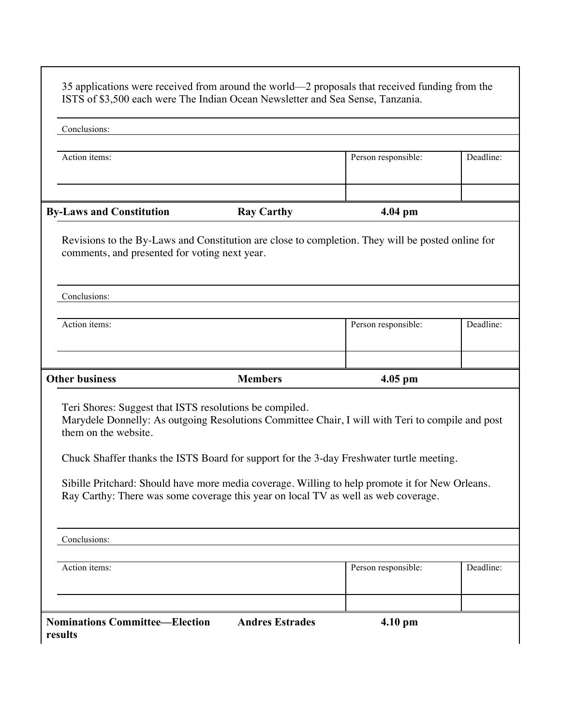| Conclusions:                                                                                                                                                                                                                                                                                                                                                                                                                                                             |                   |                     |           |  |  |
|--------------------------------------------------------------------------------------------------------------------------------------------------------------------------------------------------------------------------------------------------------------------------------------------------------------------------------------------------------------------------------------------------------------------------------------------------------------------------|-------------------|---------------------|-----------|--|--|
|                                                                                                                                                                                                                                                                                                                                                                                                                                                                          |                   |                     |           |  |  |
| Action items:                                                                                                                                                                                                                                                                                                                                                                                                                                                            |                   | Person responsible: | Deadline: |  |  |
|                                                                                                                                                                                                                                                                                                                                                                                                                                                                          |                   |                     |           |  |  |
|                                                                                                                                                                                                                                                                                                                                                                                                                                                                          |                   |                     |           |  |  |
| <b>By-Laws and Constitution</b>                                                                                                                                                                                                                                                                                                                                                                                                                                          | <b>Ray Carthy</b> | 4.04 pm             |           |  |  |
| Revisions to the By-Laws and Constitution are close to completion. They will be posted online for<br>comments, and presented for voting next year.                                                                                                                                                                                                                                                                                                                       |                   |                     |           |  |  |
| Conclusions:                                                                                                                                                                                                                                                                                                                                                                                                                                                             |                   |                     |           |  |  |
| Action items:                                                                                                                                                                                                                                                                                                                                                                                                                                                            |                   | Person responsible: | Deadline: |  |  |
|                                                                                                                                                                                                                                                                                                                                                                                                                                                                          |                   |                     |           |  |  |
| <b>Other business</b>                                                                                                                                                                                                                                                                                                                                                                                                                                                    | <b>Members</b>    | $4.05$ pm           |           |  |  |
| Teri Shores: Suggest that ISTS resolutions be compiled.<br>Marydele Donnelly: As outgoing Resolutions Committee Chair, I will with Teri to compile and post<br>them on the website.<br>Chuck Shaffer thanks the ISTS Board for support for the 3-day Freshwater turtle meeting.<br>Sibille Pritchard: Should have more media coverage. Willing to help promote it for New Orleans.<br>Ray Carthy: There was some coverage this year on local TV as well as web coverage. |                   |                     |           |  |  |
|                                                                                                                                                                                                                                                                                                                                                                                                                                                                          |                   |                     |           |  |  |
| Conclusions:                                                                                                                                                                                                                                                                                                                                                                                                                                                             |                   |                     |           |  |  |
| Action items:                                                                                                                                                                                                                                                                                                                                                                                                                                                            |                   | Person responsible: | Deadline: |  |  |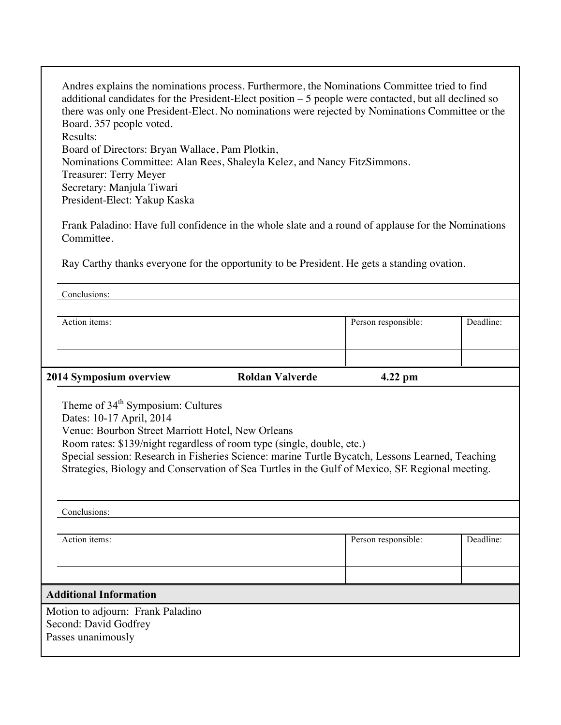Andres explains the nominations process. Furthermore, the Nominations Committee tried to find additional candidates for the President-Elect position – 5 people were contacted, but all declined so there was only one President-Elect. No nominations were rejected by Nominations Committee or the Board. 357 people voted. Results: Board of Directors: Bryan Wallace, Pam Plotkin, Nominations Committee: Alan Rees, Shaleyla Kelez, and Nancy FitzSimmons. Treasurer: Terry Meyer Secretary: Manjula Tiwari President-Elect: Yakup Kaska

Frank Paladino: Have full confidence in the whole slate and a round of applause for the Nominations Committee.

Ray Carthy thanks everyone for the opportunity to be President. He gets a standing ovation.

|                                                                                                                                                                                                                                                                                                                                                                                                                 | Person responsible: | Deadline:           |  |  |  |  |
|-----------------------------------------------------------------------------------------------------------------------------------------------------------------------------------------------------------------------------------------------------------------------------------------------------------------------------------------------------------------------------------------------------------------|---------------------|---------------------|--|--|--|--|
|                                                                                                                                                                                                                                                                                                                                                                                                                 |                     |                     |  |  |  |  |
| <b>Roldan Valverde</b>                                                                                                                                                                                                                                                                                                                                                                                          | $4.22$ pm           |                     |  |  |  |  |
| Theme of 34 <sup>th</sup> Symposium: Cultures<br>Dates: 10-17 April, 2014<br>Venue: Bourbon Street Marriott Hotel, New Orleans<br>Room rates: \$139/night regardless of room type (single, double, etc.)<br>Special session: Research in Fisheries Science: marine Turtle Bycatch, Lessons Learned, Teaching<br>Strategies, Biology and Conservation of Sea Turtles in the Gulf of Mexico, SE Regional meeting. |                     |                     |  |  |  |  |
|                                                                                                                                                                                                                                                                                                                                                                                                                 |                     |                     |  |  |  |  |
|                                                                                                                                                                                                                                                                                                                                                                                                                 |                     |                     |  |  |  |  |
|                                                                                                                                                                                                                                                                                                                                                                                                                 |                     | Deadline:           |  |  |  |  |
|                                                                                                                                                                                                                                                                                                                                                                                                                 |                     |                     |  |  |  |  |
|                                                                                                                                                                                                                                                                                                                                                                                                                 |                     |                     |  |  |  |  |
|                                                                                                                                                                                                                                                                                                                                                                                                                 |                     |                     |  |  |  |  |
|                                                                                                                                                                                                                                                                                                                                                                                                                 |                     | Person responsible: |  |  |  |  |